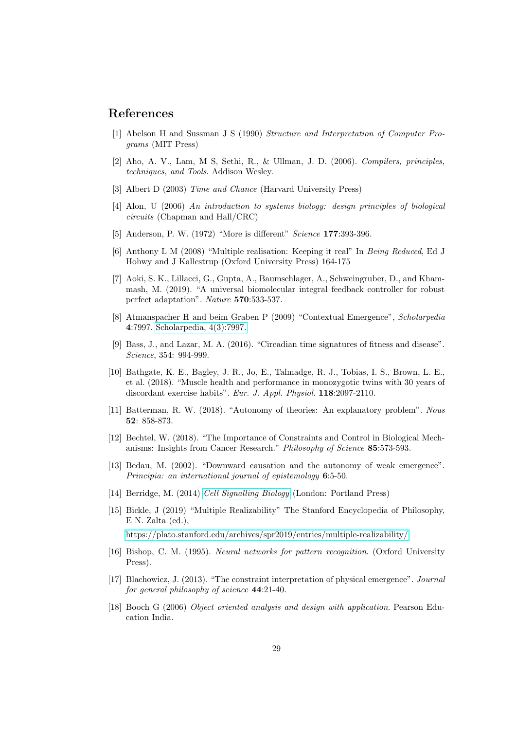## References

- [1] Abelson H and Sussman J S (1990) Structure and Interpretation of Computer Programs (MIT Press)
- [2] Aho, A. V., Lam, M S, Sethi, R., & Ullman, J. D. (2006). Compilers, principles, techniques, and Tools. Addison Wesley.
- [3] Albert D (2003) Time and Chance (Harvard University Press)
- [4] Alon, U (2006) An introduction to systems biology: design principles of biological circuits (Chapman and Hall/CRC)
- [5] Anderson, P. W. (1972) "More is different" Science 177:393-396.
- [6] Anthony L M (2008) "Multiple realisation: Keeping it real" In Being Reduced, Ed J Hohwy and J Kallestrup (Oxford University Press) 164-175
- [7] Aoki, S. K., Lillacci, G., Gupta, A., Baumschlager, A., Schweingruber, D., and Khammash, M. (2019). "A universal biomolecular integral feedback controller for robust perfect adaptation". Nature 570:533-537.
- [8] Atmanspacher H and beim Graben P (2009) "Contextual Emergence", Scholarpedia 4:7997. [Scholarpedia, 4\(3\):7997.](http://www.scholarpedia.org/article/Contextual_emergence)
- [9] Bass, J., and Lazar, M. A. (2016). "Circadian time signatures of fitness and disease". Science, 354: 994-999.
- [10] Bathgate, K. E., Bagley, J. R., Jo, E., Talmadge, R. J., Tobias, I. S., Brown, L. E., et al. (2018). "Muscle health and performance in monozygotic twins with 30 years of discordant exercise habits". Eur. J. Appl. Physiol. 118:2097-2110.
- [11] Batterman, R. W. (2018). "Autonomy of theories: An explanatory problem". Nous 52: 858-873.
- [12] Bechtel, W. (2018). "The Importance of Constraints and Control in Biological Mechanisms: Insights from Cancer Research." Philosophy of Science 85:573-593.
- [13] Bedau, M. (2002). "Downward causation and the autonomy of weak emergence". Principia: an international journal of epistemology 6:5-50.
- [14] Berridge, M. (2014) [Cell Signalling Biology](http://csb.portlandpresspublishing.com/) (London: Portland Press)
- [15] Bickle, J (2019) "Multiple Realizability" The Stanford Encyclopedia of Philosophy, E N. Zalta (ed.), [https://plato.stanford.edu/archives/spr2019/entries/multiple-realizability/](<https://plato.stanford.edu/archives/spr2019/entries/multiple-realizability/>)
- [16] Bishop, C. M. (1995). Neural networks for pattern recognition. (Oxford University Press).
- [17] Blachowicz, J. (2013). "The constraint interpretation of physical emergence". Journal for general philosophy of science 44:21-40.
- [18] Booch G (2006) Object oriented analysis and design with application. Pearson Education India.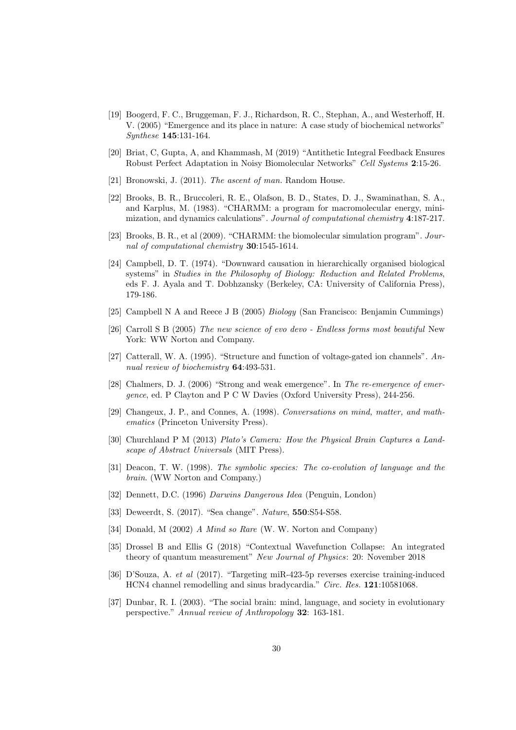- [19] Boogerd, F. C., Bruggeman, F. J., Richardson, R. C., Stephan, A., and Westerhoff, H. V. (2005) "Emergence and its place in nature: A case study of biochemical networks" Synthese 145:131-164.
- [20] Briat, C, Gupta, A, and Khammash, M (2019) "Antithetic Integral Feedback Ensures Robust Perfect Adaptation in Noisy Biomolecular Networks" Cell Systems 2:15-26.
- [21] Bronowski, J. (2011). The ascent of man. Random House.
- [22] Brooks, B. R., Bruccoleri, R. E., Olafson, B. D., States, D. J., Swaminathan, S. A., and Karplus, M. (1983). "CHARMM: a program for macromolecular energy, minimization, and dynamics calculations". Journal of computational chemistry 4:187-217.
- [23] Brooks, B. R., et al (2009). "CHARMM: the biomolecular simulation program". Journal of computational chemistry 30:1545-1614.
- [24] Campbell, D. T. (1974). "Downward causation in hierarchically organised biological systems" in Studies in the Philosophy of Biology: Reduction and Related Problems, eds F. J. Ayala and T. Dobhzansky (Berkeley, CA: University of California Press), 179-186.
- [25] Campbell N A and Reece J B (2005) Biology (San Francisco: Benjamin Cummings)
- [26] Carroll S B (2005) The new science of evo devo Endless forms most beautiful New York: WW Norton and Company.
- [27] Catterall, W. A. (1995). "Structure and function of voltage-gated ion channels". Annual review of biochemistry 64:493-531.
- [28] Chalmers, D. J. (2006) "Strong and weak emergence". In The re-emergence of emergence, ed. P Clayton and P C W Davies (Oxford University Press), 244-256.
- [29] Changeux, J. P., and Connes, A. (1998). Conversations on mind, matter, and mathematics (Princeton University Press).
- [30] Churchland P M (2013) Plato's Camera: How the Physical Brain Captures a Landscape of Abstract Universals (MIT Press).
- [31] Deacon, T. W. (1998). The symbolic species: The co-evolution of language and the brain. (WW Norton and Company.)
- [32] Dennett, D.C. (1996) Darwins Dangerous Idea (Penguin, London)
- [33] Deweerdt, S. (2017). "Sea change". Nature, **550**:S54-S58.
- [34] Donald, M (2002) A Mind so Rare (W. W. Norton and Company)
- [35] Drossel B and Ellis G (2018) "Contextual Wavefunction Collapse: An integrated theory of quantum measurement" New Journal of Physics: 20: November 2018
- [36] D'Souza, A. et al (2017). "Targeting miR-423-5p reverses exercise training-induced HCN4 channel remodelling and sinus bradycardia." Circ. Res. 121:10581068.
- [37] Dunbar, R. I. (2003). "The social brain: mind, language, and society in evolutionary perspective." Annual review of Anthropology 32: 163-181.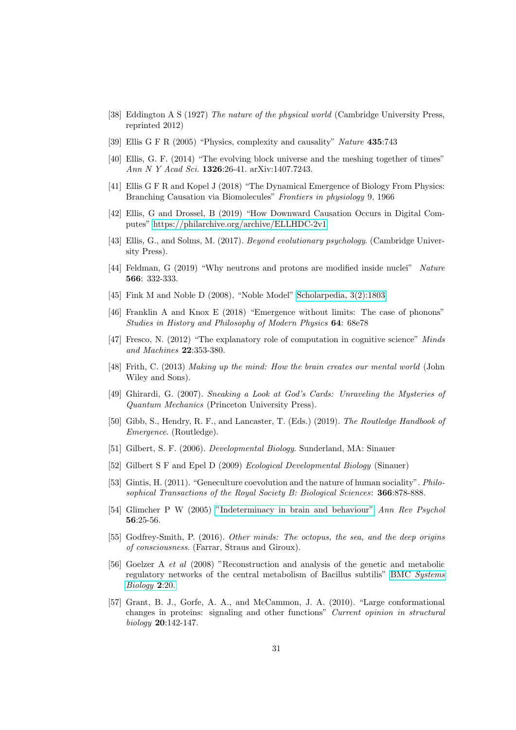- [38] Eddington A S (1927) The nature of the physical world (Cambridge University Press, reprinted 2012)
- [39] Ellis G F R (2005) "Physics, complexity and causality" Nature 435:743
- [40] Ellis, G. F. (2014) "The evolving block universe and the meshing together of times" Ann N Y Acad Sci. 1326:26-41. arXiv:1407.7243.
- [41] Ellis G F R and Kopel J (2018) "The Dynamical Emergence of Biology From Physics: Branching Causation via Biomolecules" Frontiers in physiology 9, 1966
- [42] Ellis, G and Drossel, B (2019) "How Downward Causation Occurs in Digital Computes"<https://philarchive.org/archive/ELLHDC-2v1>
- [43] Ellis, G., and Solms, M. (2017). Beyond evolutionary psychology. (Cambridge University Press).
- [44] Feldman, G (2019) "Why neutrons and protons are modified inside nuclei" Nature 566: 332-333.
- [45] Fink M and Noble D (2008), "Noble Model" [Scholarpedia, 3\(2\):1803](http://www.scholarpedia.org/article/Noble_model)
- [46] Franklin A and Knox E (2018) "Emergence without limits: The case of phonons" Studies in History and Philosophy of Modern Physics 64: 68e78
- [47] Fresco, N. (2012) "The explanatory role of computation in cognitive science" Minds and Machines 22:353-380.
- [48] Frith, C. (2013) Making up the mind: How the brain creates our mental world (John Wiley and Sons).
- [49] Ghirardi, G. (2007). Sneaking a Look at God's Cards: Unraveling the Mysteries of Quantum Mechanics (Princeton University Press).
- [50] Gibb, S., Hendry, R. F., and Lancaster, T. (Eds.) (2019). The Routledge Handbook of Emergence. (Routledge).
- [51] Gilbert, S. F. (2006). Developmental Biology. Sunderland, MA: Sinauer
- [52] Gilbert S F and Epel D (2009) Ecological Developmental Biology (Sinauer)
- [53] Gintis, H. (2011). "Geneculture coevolution and the nature of human sociality". Philosophical Transactions of the Royal Society B: Biological Sciences: 366:878-888.
- [54] Glimcher P W (2005) ["Indeterminacy in brain and behaviour"](https://eebweb.arizona.edu/faculty/dornhaus/courses/materials/papers/Glimcher%20behavior%20is%20indetermined.pdf) Ann Rev Psychol 56:25-56.
- [55] Godfrey-Smith, P. (2016). Other minds: The octopus, the sea, and the deep origins of consciousness. (Farrar, Straus and Giroux).
- [56] Goelzer A et al (2008) "Reconstruction and analysis of the genetic and metabolic regulatory networks of the central metabolism of Bacillus subtilis" BMC [Systems](http://link.springer.com/article/10.1186/1752-0509-2-20) [Biology](http://link.springer.com/article/10.1186/1752-0509-2-20) 2:20.
- [57] Grant, B. J., Gorfe, A. A., and McCammon, J. A. (2010). "Large conformational changes in proteins: signaling and other functions" Current opinion in structural biology 20:142-147.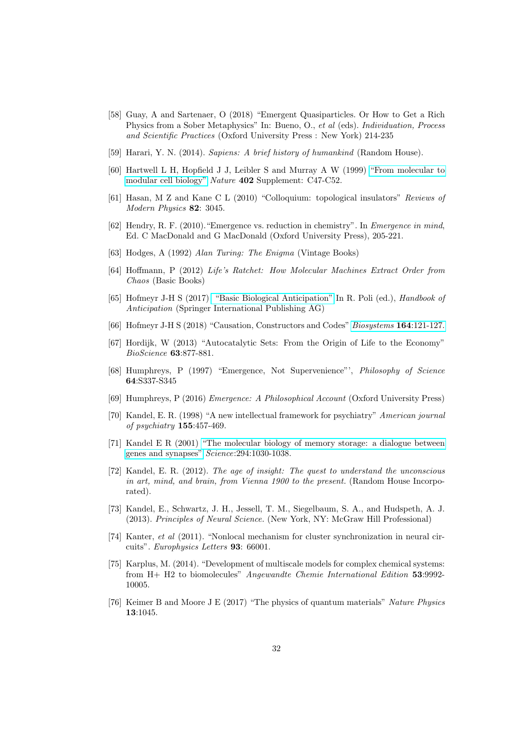- [58] Guay, A and Sartenaer, O (2018) "Emergent Quasiparticles. Or How to Get a Rich Physics from a Sober Metaphysics" In: Bueno, O., et al (eds). Individuation, Process and Scientific Practices (Oxford University Press : New York) 214-235
- [59] Harari, Y. N. (2014). Sapiens: A brief history of humankind (Random House).
- [60] Hartwell L H, Hopfield J J, Leibler S and Murray A W (1999) ["From molecular to](http://www.nature.com/nature/journal/v402/n6761supp/pdf/402c47a0.pdf) [modular cell biology"](http://www.nature.com/nature/journal/v402/n6761supp/pdf/402c47a0.pdf) Nature 402 Supplement: C47-C52.
- [61] Hasan, M Z and Kane C L (2010) "Colloquium: topological insulators" Reviews of Modern Physics **82**: 3045.
- [62] Hendry, R. F. (2010)."Emergence vs. reduction in chemistry". In Emergence in mind, Ed. C MacDonald and G MacDonald (Oxford University Press), 205-221.
- [63] Hodges, A (1992) Alan Turing: The Enigma (Vintage Books)
- [64] Hoffmann, P (2012) Life's Ratchet: How Molecular Machines Extract Order from Chaos (Basic Books)
- [65] Hofmeyr J-H S (2017) ["Basic Biological Anticipation"](https://www.researchgate.net/publication/318135985_Basic_Biological_Anticipation) In R. Poli (ed.), Handbook of Anticipation (Springer International Publishing AG)
- [66] Hofmeyr J-H S (2018) "Causation, Constructors and Codes" [Biosystems](https://doi.org/10.1016/j.biosystems.2017.09.008) 164:121-127.
- [67] Hordijk, W (2013) "Autocatalytic Sets: From the Origin of Life to the Economy" BioScience 63:877-881.
- [68] Humphreys, P (1997) "Emergence, Not Supervenience"', Philosophy of Science 64:S337-S345
- [69] Humphreys, P (2016) Emergence: A Philosophical Account (Oxford University Press)
- [70] Kandel, E. R. (1998) "A new intellectual framework for psychiatry" American journal of psychiatry 155:457-469.
- [71] Kandel E R (2001) ["The molecular biology of memory storage: a dialogue between](http://teachline.ls.huji.ac.il/72336/sphira/Kandelnobellecture.pdf) [genes and synapses"](http://teachline.ls.huji.ac.il/72336/sphira/Kandelnobellecture.pdf) Science:294:1030-1038.
- [72] Kandel, E. R. (2012). The age of insight: The quest to understand the unconscious in art, mind, and brain, from Vienna 1900 to the present. (Random House Incorporated).
- [73] Kandel, E., Schwartz, J. H., Jessell, T. M., Siegelbaum, S. A., and Hudspeth, A. J. (2013). Principles of Neural Science. (New York, NY: McGraw Hill Professional)
- [74] Kanter, et al (2011). "Nonlocal mechanism for cluster synchronization in neural circuits". Europhysics Letters 93: 66001.
- [75] Karplus, M. (2014). "Development of multiscale models for complex chemical systems: from H+ H2 to biomolecules" Angewandte Chemie International Edition 53:9992- 10005.
- [76] Keimer B and Moore J E (2017) "The physics of quantum materials" Nature Physics 13:1045.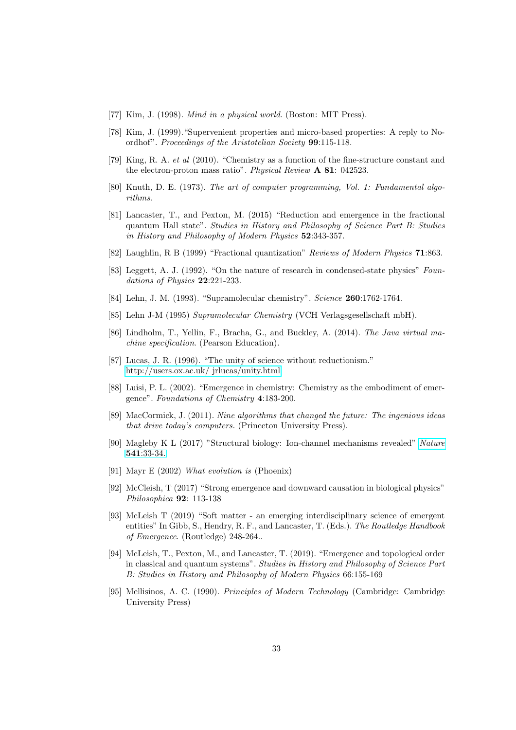- [77] Kim, J. (1998). *Mind in a physical world*. (Boston: MIT Press).
- [78] Kim, J. (1999)."Supervenient properties and micro-based properties: A reply to Noordhof". Proceedings of the Aristotelian Society 99:115-118.
- [79] King, R. A. et al (2010). "Chemistry as a function of the fine-structure constant and the electron-proton mass ratio". Physical Review A 81: 042523.
- [80] Knuth, D. E. (1973). The art of computer programming, Vol. 1: Fundamental algorithms.
- [81] Lancaster, T., and Pexton, M. (2015) "Reduction and emergence in the fractional quantum Hall state". Studies in History and Philosophy of Science Part B: Studies in History and Philosophy of Modern Physics 52:343-357.
- [82] Laughlin, R B (1999) "Fractional quantization" Reviews of Modern Physics 71:863.
- [83] Leggett, A. J. (1992). "On the nature of research in condensed-state physics" Foundations of Physics 22:221-233.
- [84] Lehn, J. M. (1993). "Supramolecular chemistry". Science **260**:1762-1764.
- [85] Lehn J-M (1995) Supramolecular Chemistry (VCH Verlagsgesellschaft mbH).
- [86] Lindholm, T., Yellin, F., Bracha, G., and Buckley, A. (2014). The Java virtual machine specification. (Pearson Education).
- [87] Lucas, J. R. (1996). "The unity of science without reductionism." [http://users.ox.ac.uk/ jrlucas/unity.html](http://users.ox.ac.uk/~jrlucas/unity.html)
- [88] Luisi, P. L. (2002). "Emergence in chemistry: Chemistry as the embodiment of emergence". Foundations of Chemistry 4:183-200.
- [89] MacCormick, J. (2011). Nine algorithms that changed the future: The ingenious ideas that drive today's computers. (Princeton University Press).
- [90] Magleby K L (2017) "Structural biology: Ion-channel mechanisms revealed" [Nature](http://www.nature.com/nature/journal/v541/n7635/abs/nature21103.html?lang=en) 541[:33-34.](http://www.nature.com/nature/journal/v541/n7635/abs/nature21103.html?lang=en)
- [91] Mayr E (2002) What evolution is (Phoenix)
- [92] McCleish, T (2017) "Strong emergence and downward causation in biological physics" Philosophica 92: 113-138
- [93] McLeish T (2019) "Soft matter an emerging interdisciplinary science of emergent entities" In Gibb, S., Hendry, R. F., and Lancaster, T. (Eds.). The Routledge Handbook of Emergence. (Routledge) 248-264..
- [94] McLeish, T., Pexton, M., and Lancaster, T. (2019). "Emergence and topological order in classical and quantum systems". Studies in History and Philosophy of Science Part B: Studies in History and Philosophy of Modern Physics 66:155-169
- [95] Mellisinos, A. C. (1990). Principles of Modern Technology (Cambridge: Cambridge University Press)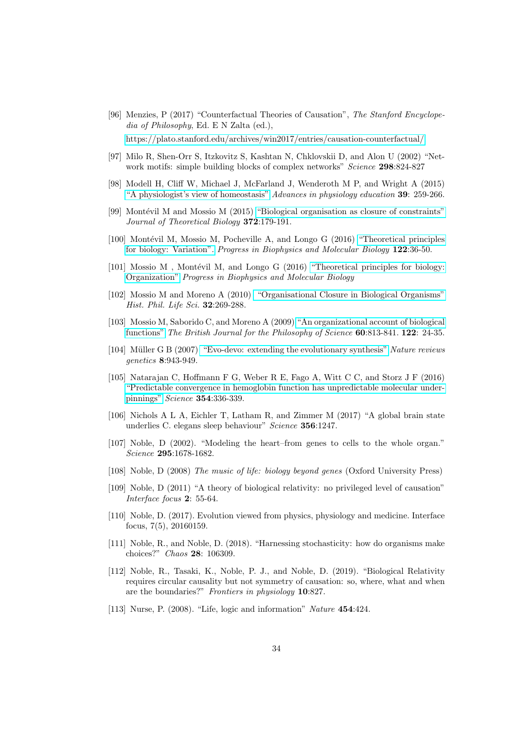- [96] Menzies, P (2017) "Counterfactual Theories of Causation", The Stanford Encyclopedia of Philosophy, Ed. E N Zalta (ed.), [https://plato.stanford.edu/archives/win2017/entries/causation-counterfactual/.](<https://plato.stanford.edu/archives/win2017/entries/causation-counterfactual/>)
- [97] Milo R, Shen-Orr S, Itzkovitz S, Kashtan N, Chklovskii D, and Alon U (2002) "Network motifs: simple building blocks of complex networks" Science 298:824-827
- [98] Modell H, Cliff W, Michael J, McFarland J, Wenderoth M P, and Wright A (2015) ["A physiologist's view of homeostasis"](https://www.physiology.org/doi/full/10.1152/advan.00107.2015) Advances in physiology education 39: 259-266.
- [99] Montévil M and Mossio M  $(2015)$  ["Biological organisation as closure of constraints"](https://hal.archives-ouvertes.fr/hal-01192916) Journal of Theoretical Biology 372:179-191.
- [100] Montévil M, Mossio M, Pocheville A, and Longo G (2016) ["Theoretical principles](https://hal.archives-ouvertes.fr/hal-01379202/document) [for biology: Variation".](https://hal.archives-ouvertes.fr/hal-01379202/document) Progress in Biophysics and Molecular Biology 122:36-50.
- [101] Mossio M, Montévil M, and Longo G  $(2016)$  ["Theoretical principles for biology:](https://hal.archives-ouvertes.fr/hal-01354872/) [Organization"](https://hal.archives-ouvertes.fr/hal-01354872/) Progress in Biophysics and Molecular Biology
- [102] Mossio M and Moreno A (2010) ["Organisational Closure in Biological Organisms"](https://www.academia.edu/661020/Organisational_Closure_in_Biological_Organisms) Hist. Phil. Life Sci. 32:269-288.
- [103] Mossio M, Saborido C, and Moreno A (2009) ["An organizational account of biological](https://academic.oup.com/bjps/article-abstract/60/4/813/1635631?redirectedFrom=fulltext) [functions"](https://academic.oup.com/bjps/article-abstract/60/4/813/1635631?redirectedFrom=fulltext) The British Journal for the Philosophy of Science 60:813-841. 122: 24-35.
- [104] Müller G B (2007) ["Evo-devo: extending the evolutionary synthesis"](https://www.researchgate.net/publication/5861685_Evo-devo_Extending_the_evolutionary_synthesis) Nature reviews genetics 8:943-949.
- [105] Natarajan C, Hoffmann F G, Weber R E, Fago A, Witt C C, and Storz J F (2016) ["Predictable convergence in hemoglobin function has unpredictable molecular under](https://www.researchgate.net/publication/309322392_Predictable_convergence_in_hemoglobin_function_has_unpredictable_molecular_underpinnings)[pinnings"](https://www.researchgate.net/publication/309322392_Predictable_convergence_in_hemoglobin_function_has_unpredictable_molecular_underpinnings) Science 354:336-339.
- [106] Nichols A L A, Eichler T, Latham R, and Zimmer M (2017) "A global brain state underlies C. elegans sleep behaviour" Science 356:1247.
- [107] Noble, D (2002). "Modeling the heart–from genes to cells to the whole organ." Science 295:1678-1682.
- [108] Noble, D (2008) The music of life: biology beyond genes (Oxford University Press)
- [109] Noble, D (2011) "A theory of biological relativity: no privileged level of causation" Interface focus 2: 55-64.
- [110] Noble, D. (2017). Evolution viewed from physics, physiology and medicine. Interface focus, 7(5), 20160159.
- [111] Noble, R., and Noble, D. (2018). "Harnessing stochasticity: how do organisms make choices?" Chaos 28: 106309.
- [112] Noble, R., Tasaki, K., Noble, P. J., and Noble, D. (2019). "Biological Relativity requires circular causality but not symmetry of causation: so, where, what and when are the boundaries?" Frontiers in physiology 10:827.
- [113] Nurse, P. (2008). "Life, logic and information" Nature 454:424.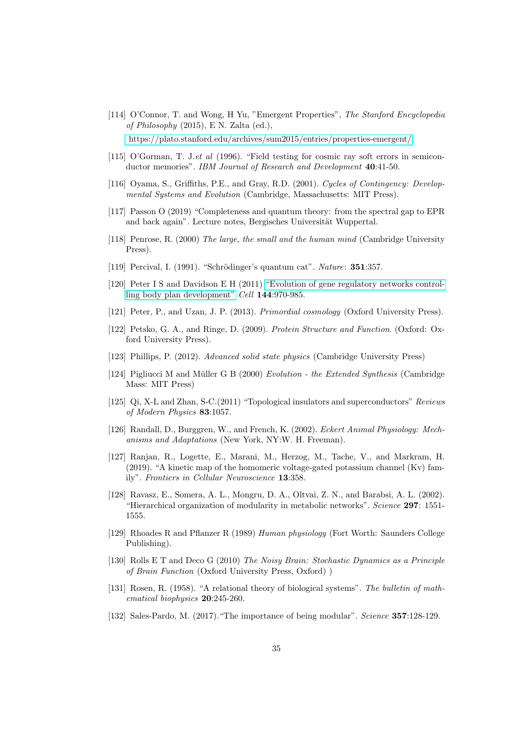- [114] O'Connor, T. and Wong, H Yu, "Emergent Properties", The Stanford Encyclopedia of Philosophy (2015), E N. Zalta (ed.), [https://plato.stanford.edu/archives/sum2015/entries/properties-emergent/.](https://plato.stanford.edu/archives/sum2015/entries/properties-emergent/)
- [115] O'Gorman, T. J.et al (1996). "Field testing for cosmic ray soft errors in semiconductor memories". IBM Journal of Research and Development 40:41-50.
- [116] Oyama, S., Griffiths, P.E., and Gray, R.D. (2001). Cycles of Contingency: Developmental Systems and Evolution (Cambridge, Massachusetts: MIT Press).
- [117] Passon O (2019) "Completeness and quantum theory: from the spectral gap to EPR and back again". Lecture notes, Bergisches Universität Wuppertal.
- [118] Penrose, R. (2000) The large, the small and the human mind (Cambridge University Press).
- [119] Percival, I. (1991). "Schrödinger's quantum cat". Nature: **351**:357.
- [120] Peter I S and Davidson E H (2011) ["Evolution of gene regulatory networks control](https://www.ncbi.nlm.nih.gov/pmc/articles/PMC3076009/)[ling body plan development"](https://www.ncbi.nlm.nih.gov/pmc/articles/PMC3076009/) Cell 144:970-985.
- [121] Peter, P., and Uzan, J. P. (2013). Primordial cosmology (Oxford University Press).
- [122] Petsko, G. A., and Ringe, D. (2009). Protein Structure and Function. (Oxford: Oxford University Press).
- [123] Phillips, P. (2012). Advanced solid state physics (Cambridge University Press)
- [124] Pigliucci M and Müller G B (2000) Evolution the Extended Synthesis (Cambridge Mass: MIT Press)
- [125] Qi, X-L and Zhan, S-C.(2011) "Topological insulators and superconductors" Reviews of Modern Physics 83:1057.
- [126] Randall, D., Burggren, W., and French, K. (2002). Eckert Animal Physiology: Mechanisms and Adaptations (New York, NY:W. H. Freeman).
- [127] Ranjan, R., Logette, E., Marani, M., Herzog, M., Tache, V., and Markram, H. (2019). "A kinetic map of the homomeric voltage-gated potassium channel (Kv) family". Frontiers in Cellular Neuroscience 13:358.
- [128] Ravasz, E., Somera, A. L., Mongru, D. A., Oltvai, Z. N., and Barabsi, A. L. (2002). "Hierarchical organization of modularity in metabolic networks". Science 297: 1551- 1555.
- [129] Rhoades R and Pflanzer R (1989) Human physiology (Fort Worth: Saunders College Publishing).
- [130] Rolls E T and Deco G (2010) The Noisy Brain: Stochastic Dynamics as a Principle of Brain Function (Oxford University Press, Oxford) )
- [131] Rosen, R. (1958). "A relational theory of biological systems". The bulletin of mathematical biophysics 20:245-260.
- [132] Sales-Pardo, M. (2017)."The importance of being modular". Science 357:128-129.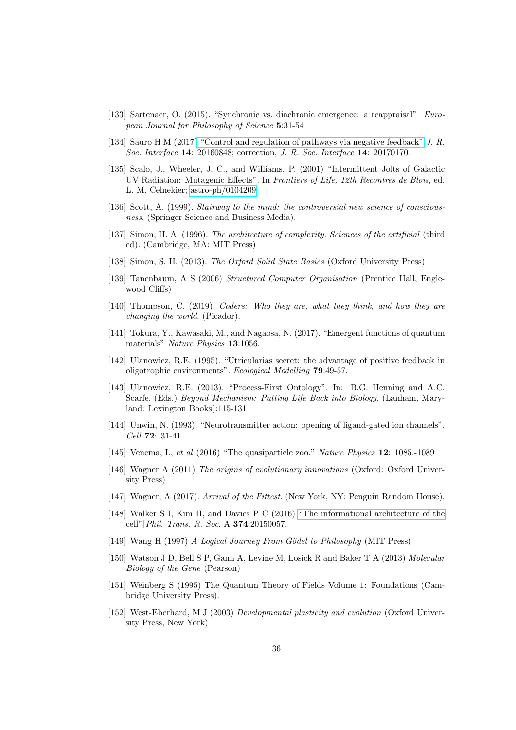- [133] Sartenaer, O. (2015). "Synchronic vs. diachronic emergence: a reappraisal" European Journal for Philosophy of Science 5:31-54
- [134] Sauro H M (2017[\) "Control and regulation of pathways via negative feedback"](https://royalsocietypublishing.org/doi/full/10.1098/rsif.2016.0848) J. R. Soc. Interface 14: 20160848; correction, J. R. Soc. Interface 14: 20170170.
- [135] Scalo, J., Wheeler, J. C., and Williams, P. (2001) "Intermittent Jolts of Galactic UV Radiation: Mutagenic Effects". In Frontiers of Life, 12th Recontres de Blois, ed. L. M. Celnekier; [astro-ph/0104209](https://arxiv.org/pdf/astro-ph/0104209.pdf)
- [136] Scott, A. (1999). Stairway to the mind: the controversial new science of consciousness. (Springer Science and Business Media).
- [137] Simon, H. A. (1996). The architecture of complexity. Sciences of the artificial (third ed). (Cambridge, MA: MIT Press)
- [138] Simon, S. H. (2013). The Oxford Solid State Basics (Oxford University Press)
- [139] Tanenbaum, A S (2006) Structured Computer Organisation (Prentice Hall, Englewood Cliffs)
- [140] Thompson, C. (2019). Coders: Who they are, what they think, and how they are changing the world. (Picador).
- [141] Tokura, Y., Kawasaki, M., and Nagaosa, N. (2017). "Emergent functions of quantum materials" Nature Physics 13:1056.
- [142] Ulanowicz, R.E. (1995). "Utricularias secret: the advantage of positive feedback in oligotrophic environments". Ecological Modelling 79:49-57.
- [143] Ulanowicz, R.E. (2013). "Process-First Ontology". In: B.G. Henning and A.C. Scarfe. (Eds.) Beyond Mechanism: Putting Life Back into Biology. (Lanham, Maryland: Lexington Books):115-131
- [144] Unwin, N. (1993). "Neurotransmitter action: opening of ligand-gated ion channels". Cell 72: 31-41.
- [145] Venema, L, et al (2016) "The quasiparticle zoo." Nature Physics 12: 1085.-1089
- [146] Wagner A (2011) The origins of evolutionary innovations (Oxford: Oxford University Press)
- [147] Wagner, A (2017). Arrival of the Fittest. (New York, NY: Penguin Random House).
- [148] Walker S I, Kim H, and Davies P C (2016) ["The informational architecture of the](https://royalsocietypublishing.org/doi/full/10.1098/rsta.2015.0057) [cell"](https://royalsocietypublishing.org/doi/full/10.1098/rsta.2015.0057) Phil. Trans. R. Soc. A 374:20150057.
- [149] Wang H (1997) A Logical Journey From Gödel to Philosophy (MIT Press)
- [150] Watson J D, Bell S P, Gann A, Levine M, Losick R and Baker T A (2013) Molecular Biology of the Gene (Pearson)
- [151] Weinberg S (1995) The Quantum Theory of Fields Volume 1: Foundations (Cambridge University Press).
- [152] West-Eberhard, M J (2003) Developmental plasticity and evolution (Oxford University Press, New York)